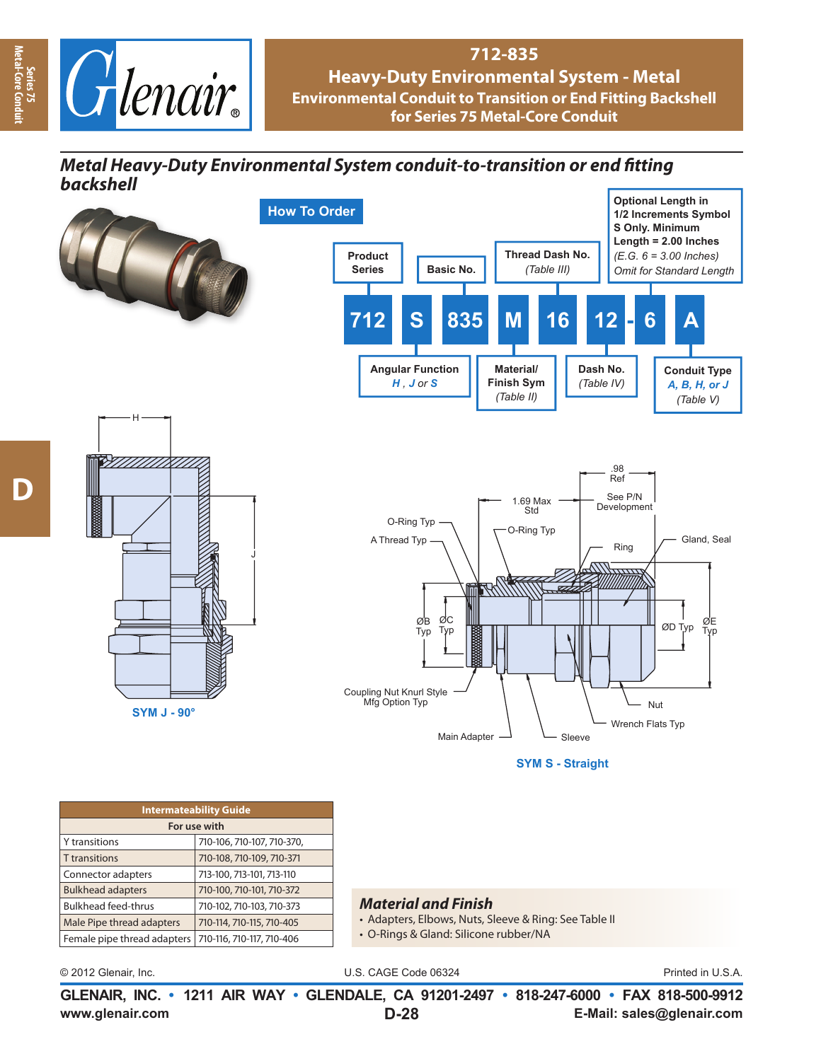

## **712-835 Heavy-Duty Environmental System - Metal Environmental Conduit to Transition or End Fitting Backshell for Series 75 Metal-Core Conduit**

## **Metal Heavy-Duty Environmental System conduit-to-transition or end fitting** *backshell*



**www.glenair.com E-Mail: sales@glenair.com GLENAIR, INC. • 1211 AIR WAY • GLENDALE, CA 91201-2497 • 818-247-6000 • FAX 818-500-9912 D-28**